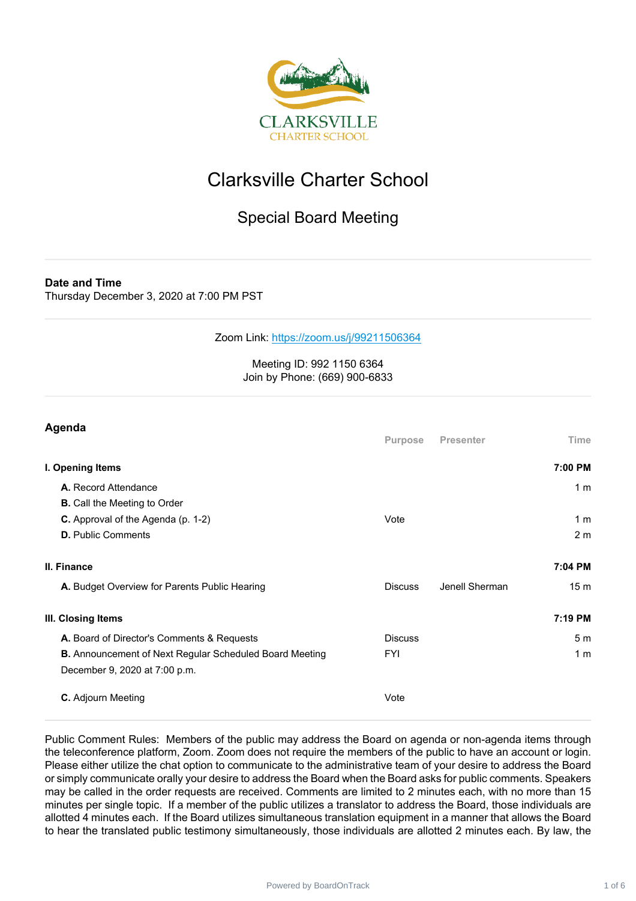

## Clarksville Charter School

### Special Board Meeting

**Date and Time**

Thursday December 3, 2020 at 7:00 PM PST

Zoom Link: <https://zoom.us/j/99211506364>

#### Meeting ID: 992 1150 6364 Join by Phone: (669) 900-6833

| Agenda                                                         |                |                  |                 |
|----------------------------------------------------------------|----------------|------------------|-----------------|
|                                                                | Purpose        | <b>Presenter</b> | Time            |
| I. Opening Items                                               |                |                  | 7:00 PM         |
| A. Record Attendance                                           |                |                  | 1 <sub>m</sub>  |
| <b>B.</b> Call the Meeting to Order                            |                |                  |                 |
| C. Approval of the Agenda (p. 1-2)                             | Vote           |                  | 1 <sub>m</sub>  |
| <b>D.</b> Public Comments                                      |                |                  | 2 <sub>m</sub>  |
| II. Finance                                                    |                |                  | 7:04 PM         |
| A. Budget Overview for Parents Public Hearing                  | <b>Discuss</b> | Jenell Sherman   | 15 <sub>m</sub> |
| III. Closing Items                                             |                |                  | 7:19 PM         |
| A. Board of Director's Comments & Requests                     | <b>Discuss</b> |                  | 5 <sub>m</sub>  |
| <b>B.</b> Announcement of Next Regular Scheduled Board Meeting | <b>FYI</b>     |                  | 1 <sub>m</sub>  |
| December 9, 2020 at 7:00 p.m.                                  |                |                  |                 |
| C. Adjourn Meeting                                             | Vote           |                  |                 |

Public Comment Rules: Members of the public may address the Board on agenda or non-agenda items through the teleconference platform, Zoom. Zoom does not require the members of the public to have an account or login. Please either utilize the chat option to communicate to the administrative team of your desire to address the Board or simply communicate orally your desire to address the Board when the Board asks for public comments. Speakers may be called in the order requests are received. Comments are limited to 2 minutes each, with no more than 15 minutes per single topic. If a member of the public utilizes a translator to address the Board, those individuals are allotted 4 minutes each. If the Board utilizes simultaneous translation equipment in a manner that allows the Board to hear the translated public testimony simultaneously, those individuals are allotted 2 minutes each. By law, the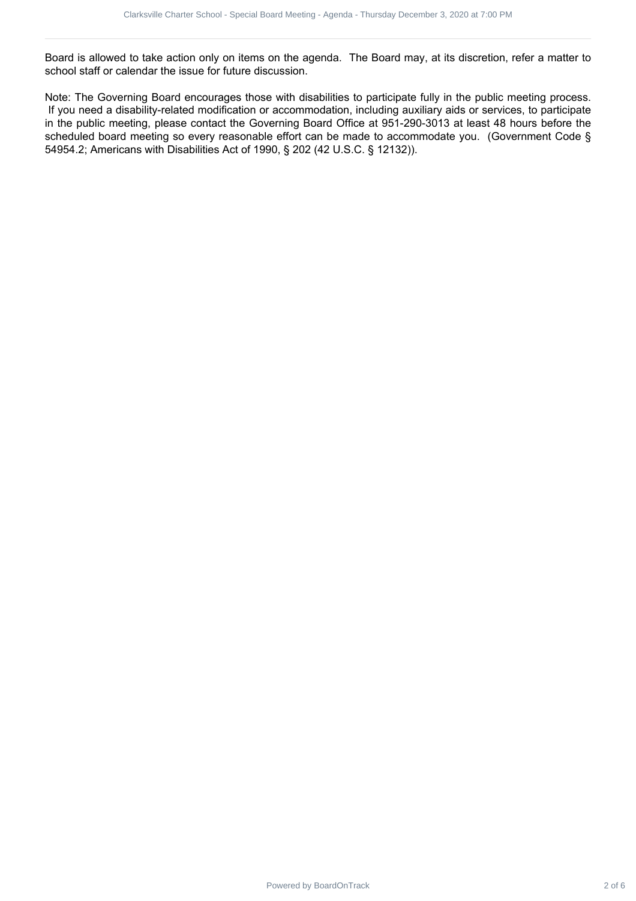Board is allowed to take action only on items on the agenda. The Board may, at its discretion, refer a matter to school staff or calendar the issue for future discussion.

Note: The Governing Board encourages those with disabilities to participate fully in the public meeting process. If you need a disability-related modification or accommodation, including auxiliary aids or services, to participate in the public meeting, please contact the Governing Board Office at 951-290-3013 at least 48 hours before the scheduled board meeting so every reasonable effort can be made to accommodate you. (Government Code § 54954.2; Americans with Disabilities Act of 1990, § 202 (42 U.S.C. § 12132)). Characterize School - Special Board - Special Board - Special Board - Special Board - Special Board - Special Board - Special Board - Special Board - Special Board - Special Board - The December 3, 2020 at 7:00 PM - The De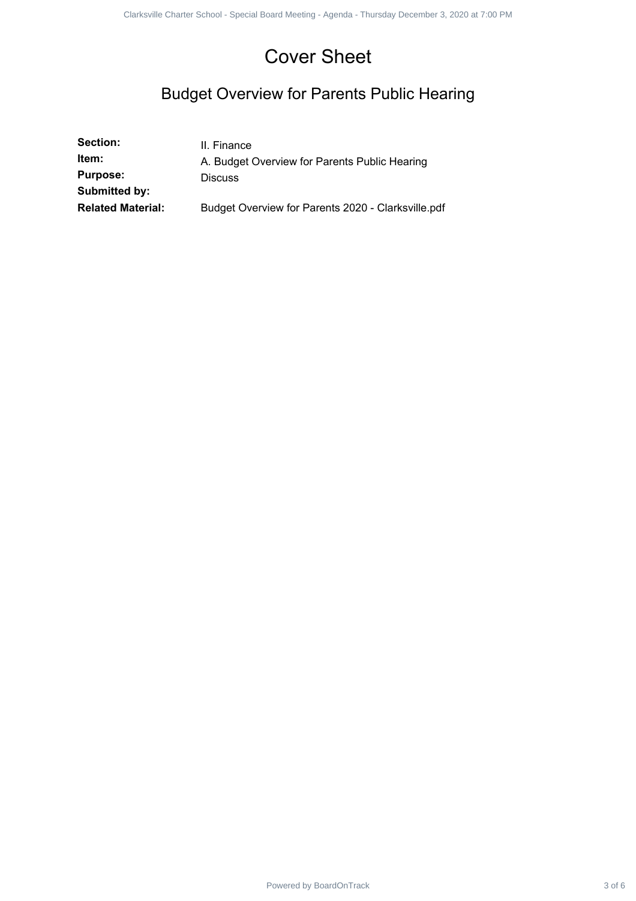## Cover Sheet

## Budget Overview for Parents Public Hearing

|                                                       | <b>Cover Sheet</b>                                                             |        |
|-------------------------------------------------------|--------------------------------------------------------------------------------|--------|
| <b>Budget Overview for Parents Public Hearing</b>     |                                                                                |        |
| Section:<br>Item:<br><b>Purpose:</b><br>Submitted by: | II. Finance<br>A. Budget Overview for Parents Public Hearing<br><b>Discuss</b> |        |
| <b>Related Material:</b>                              | Budget Overview for Parents 2020 - Clarksville.pdf                             |        |
|                                                       |                                                                                |        |
|                                                       |                                                                                |        |
|                                                       |                                                                                |        |
|                                                       |                                                                                |        |
|                                                       |                                                                                |        |
|                                                       |                                                                                |        |
|                                                       |                                                                                |        |
|                                                       |                                                                                |        |
|                                                       |                                                                                |        |
|                                                       |                                                                                |        |
|                                                       |                                                                                |        |
|                                                       |                                                                                |        |
|                                                       |                                                                                |        |
|                                                       |                                                                                |        |
|                                                       |                                                                                |        |
|                                                       |                                                                                |        |
|                                                       |                                                                                |        |
|                                                       |                                                                                |        |
|                                                       | Powered by BoardOnTrack                                                        | 3 of 6 |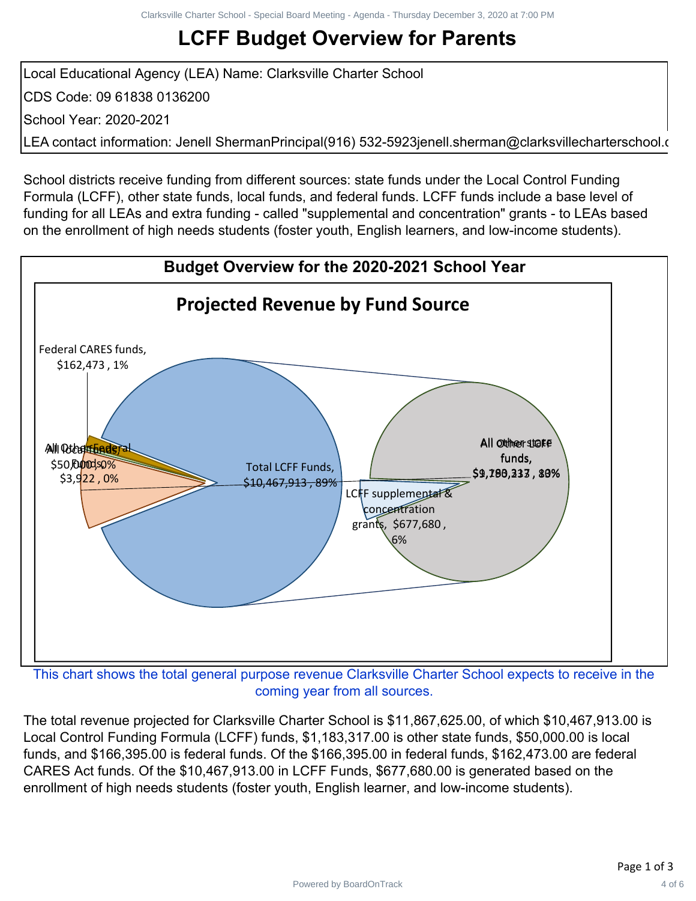# **LCFF Budget Overview for Parents**

Local Educational Agency (LEA) Name: Clarksville Charter School CDS Code: 09 61838 0136200 School Year: 2020-2021 LEA contact information: Jenell ShermanPrincipal(916) 532-5923jenell.sherman@clarksvillecharterschool.o

School districts receive funding from different sources: state funds under the Local Control Funding Formula (LCFF), other state funds, local funds, and federal funds. LCFF funds include a base level of funding for all LEAs and extra funding - called "supplemental and concentration" grants - to LEAs based on the enrollment of high needs students (foster youth, English learners, and low-income students).



coming year from all sources.

The total revenue projected for Clarksville Charter School is \$11,867,625.00, of which \$10,467,913.00 is Local Control Funding Formula (LCFF) funds, \$1,183,317.00 is other state funds, \$50,000.00 is local funds, and \$166,395.00 is federal funds. Of the \$166,395.00 in federal funds, \$162,473.00 are federal CARES Act funds. Of the \$10,467,913.00 in LCFF Funds, \$677,680.00 is generated based on the enrollment of high needs students (foster youth, English learner, and low-income students).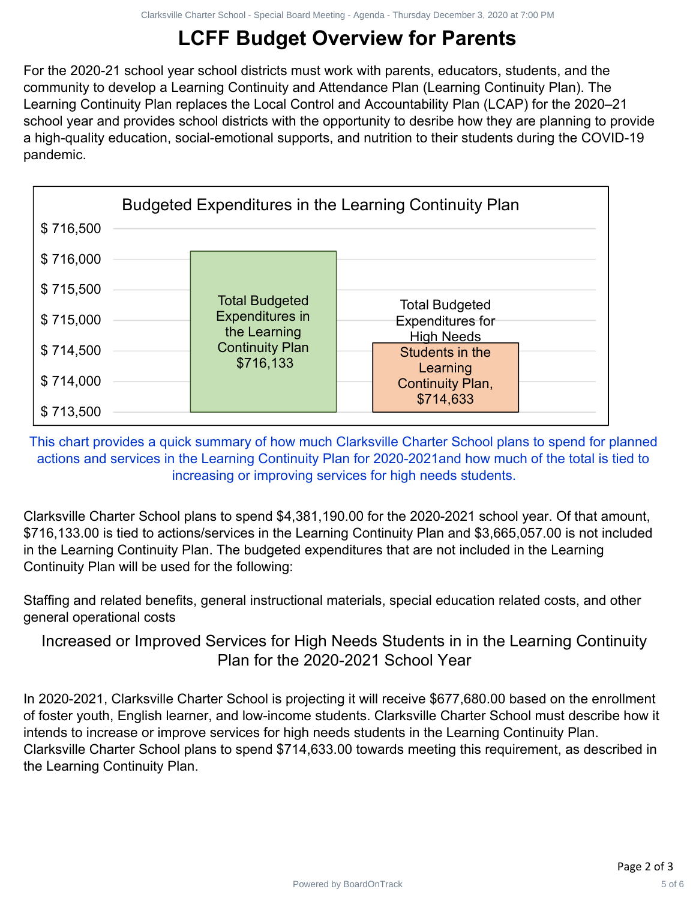# **LCFF Budget Overview for Parents**

For the 2020-21 school year school districts must work with parents, educators, students, and the community to develop a Learning Continuity and Attendance Plan (Learning Continuity Plan). The Learning Continuity Plan replaces the Local Control and Accountability Plan (LCAP) for the 2020–21 school year and provides school districts with the opportunity to desribe how they are planning to provide a high-quality education, social-emotional supports, and nutrition to their students during the COVID-19 pandemic.



This chart provides a quick summary of how much Clarksville Charter School plans to spend for planned actions and services in the Learning Continuity Plan for 2020-2021and how much of the total is tied to increasing or improving services for high needs students.

Clarksville Charter School plans to spend \$4,381,190.00 for the 2020-2021 school year. Of that amount, \$716,133.00 is tied to actions/services in the Learning Continuity Plan and \$3,665,057.00 is not included in the Learning Continuity Plan. The budgeted expenditures that are not included in the Learning Continuity Plan will be used for the following:

Staffing and related benefits, general instructional materials, special education related costs, and other general operational costs

Increased or Improved Services for High Needs Students in in the Learning Continuity Plan for the 2020-2021 School Year

In 2020-2021, Clarksville Charter School is projecting it will receive \$677,680.00 based on the enrollment of foster youth, English learner, and low-income students. Clarksville Charter School must describe how it intends to increase or improve services for high needs students in the Learning Continuity Plan. Clarksville Charter School plans to spend \$714,633.00 towards meeting this requirement, as described in the Learning Continuity Plan.